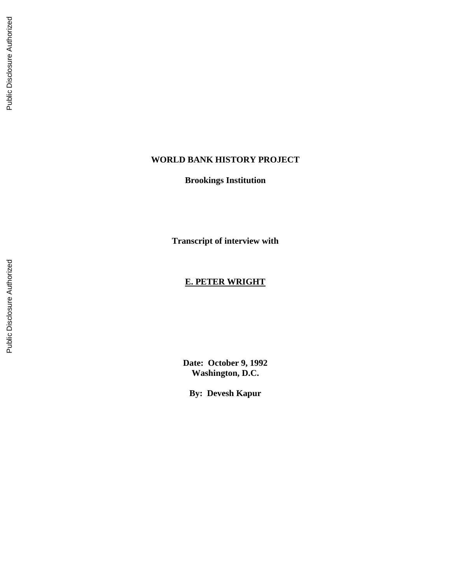# **WORLD BANK HISTORY PROJECT**

**Brookings Institution**

**Transcript of interview with** 

## **E. PETER WRIGHT**

**Date: October 9, 1992 Washington, D.C.**

**By: Devesh Kapur**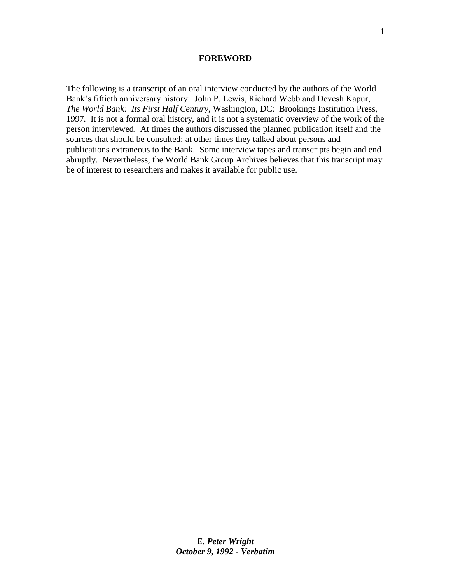#### **FOREWORD**

The following is a transcript of an oral interview conducted by the authors of the World Bank's fiftieth anniversary history: John P. Lewis, Richard Webb and Devesh Kapur, *The World Bank: Its First Half Century,* Washington, DC: Brookings Institution Press, 1997*.* It is not a formal oral history, and it is not a systematic overview of the work of the person interviewed. At times the authors discussed the planned publication itself and the sources that should be consulted; at other times they talked about persons and publications extraneous to the Bank. Some interview tapes and transcripts begin and end abruptly. Nevertheless, the World Bank Group Archives believes that this transcript may be of interest to researchers and makes it available for public use.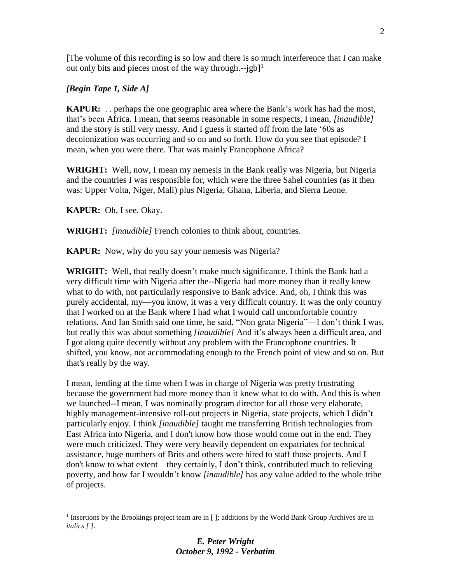[The volume of this recording is so low and there is so much interference that I can make out only bits and pieces most of the way through.-- $jgb$ <sup>1</sup>

## *[Begin Tape 1, Side A]*

**KAPUR:** . . perhaps the one geographic area where the Bank's work has had the most, that's been Africa. I mean, that seems reasonable in some respects, I mean, *[inaudible]* and the story is still very messy. And I guess it started off from the late '60s as decolonization was occurring and so on and so forth. How do you see that episode? I mean, when you were there. That was mainly Francophone Africa?

**WRIGHT:** Well, now, I mean my nemesis in the Bank really was Nigeria, but Nigeria and the countries I was responsible for, which were the three Sahel countries (as it then was: Upper Volta, Niger, Mali) plus Nigeria, Ghana, Liberia, and Sierra Leone.

**KAPUR:** Oh, I see. Okay.

 $\overline{a}$ 

**WRIGHT:** *[inaudible]* French colonies to think about, countries.

**KAPUR:** Now, why do you say your nemesis was Nigeria?

**WRIGHT:** Well, that really doesn't make much significance. I think the Bank had a very difficult time with Nigeria after the--Nigeria had more money than it really knew what to do with, not particularly responsive to Bank advice. And, oh, I think this was purely accidental, my—you know, it was a very difficult country. It was the only country that I worked on at the Bank where I had what I would call uncomfortable country relations. And Ian Smith said one time, he said, "Non grata Nigeria"—I don't think I was, but really this was about something *[inaudible]* And it's always been a difficult area, and I got along quite decently without any problem with the Francophone countries. It shifted, you know, not accommodating enough to the French point of view and so on. But that's really by the way.

I mean, lending at the time when I was in charge of Nigeria was pretty frustrating because the government had more money than it knew what to do with. And this is when we launched--I mean, I was nominally program director for all those very elaborate, highly management-intensive roll-out projects in Nigeria, state projects, which I didn't particularly enjoy. I think *[inaudible]* taught me transferring British technologies from East Africa into Nigeria, and I don't know how those would come out in the end. They were much criticized. They were very heavily dependent on expatriates for technical assistance, huge numbers of Brits and others were hired to staff those projects. And I don't know to what extent—they certainly, I don't think, contributed much to relieving poverty, and how far I wouldn't know *[inaudible]* has any value added to the whole tribe of projects.

<sup>&</sup>lt;sup>1</sup> Insertions by the Brookings project team are in [ ]; additions by the World Bank Group Archives are in *italics [ ].*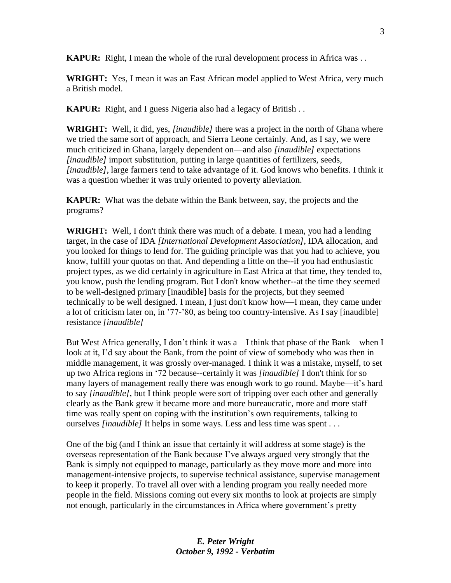**KAPUR:** Right, I mean the whole of the rural development process in Africa was . .

**WRIGHT:** Yes, I mean it was an East African model applied to West Africa, very much a British model.

**KAPUR:** Right, and I guess Nigeria also had a legacy of British . .

**WRIGHT:** Well, it did, yes, *[inaudible]* there was a project in the north of Ghana where we tried the same sort of approach, and Sierra Leone certainly. And, as I say, we were much criticized in Ghana, largely dependent on—and also *[inaudible]* expectations *[inaudible]* import substitution, putting in large quantities of fertilizers, seeds, *[inaudible]*, large farmers tend to take advantage of it. God knows who benefits. I think it was a question whether it was truly oriented to poverty alleviation.

**KAPUR:** What was the debate within the Bank between, say, the projects and the programs?

**WRIGHT:** Well, I don't think there was much of a debate. I mean, you had a lending target, in the case of IDA *[International Development Association]*, IDA allocation, and you looked for things to lend for. The guiding principle was that you had to achieve, you know, fulfill your quotas on that. And depending a little on the--if you had enthusiastic project types, as we did certainly in agriculture in East Africa at that time, they tended to, you know, push the lending program. But I don't know whether--at the time they seemed to be well-designed primary [inaudible] basis for the projects, but they seemed technically to be well designed. I mean, I just don't know how—I mean, they came under a lot of criticism later on, in '77-'80, as being too country-intensive. As I say [inaudible] resistance *[inaudible]*

But West Africa generally, I don't think it was a—I think that phase of the Bank—when I look at it, I'd say about the Bank, from the point of view of somebody who was then in middle management, it was grossly over-managed. I think it was a mistake, myself, to set up two Africa regions in '72 because--certainly it was *[inaudible]* I don't think for so many layers of management really there was enough work to go round. Maybe—it's hard to say *[inaudible]*, but I think people were sort of tripping over each other and generally clearly as the Bank grew it became more and more bureaucratic, more and more staff time was really spent on coping with the institution's own requirements, talking to ourselves *[inaudible]* It helps in some ways. Less and less time was spent . . .

One of the big (and I think an issue that certainly it will address at some stage) is the overseas representation of the Bank because I've always argued very strongly that the Bank is simply not equipped to manage, particularly as they move more and more into management-intensive projects, to supervise technical assistance, supervise management to keep it properly. To travel all over with a lending program you really needed more people in the field. Missions coming out every six months to look at projects are simply not enough, particularly in the circumstances in Africa where government's pretty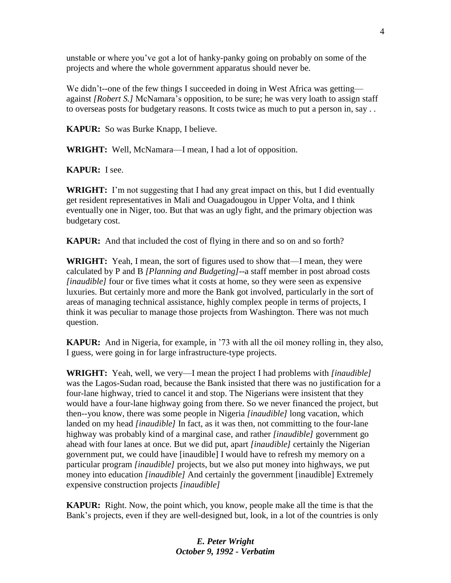unstable or where you've got a lot of hanky-panky going on probably on some of the projects and where the whole government apparatus should never be.

We didn't--one of the few things I succeeded in doing in West Africa was getting against *[Robert S.]* McNamara's opposition, to be sure; he was very loath to assign staff to overseas posts for budgetary reasons. It costs twice as much to put a person in, say . .

**KAPUR:** So was Burke Knapp, I believe.

**WRIGHT:** Well, McNamara—I mean, I had a lot of opposition.

**KAPUR:** I see.

**WRIGHT:** I'm not suggesting that I had any great impact on this, but I did eventually get resident representatives in Mali and [Ouagadougou](https://www.google.com/search?biw=1920&bih=911&q=Ouagadougou+Burkina+Faso&stick=H4sIAAAAAAAAAOPgE-LQz9U3MDSztFQCs9Kyyi21ZLKTrfRz8pMTSzLz8_ST80vzSooqrZITCzJLEnMAzPmMjTQAAAA&sa=X&sqi=2&ved=0ahUKEwjXmv3Co7PTAhVGziYKHUXaCeIQmxMIlwEoATAR) in Upper Volta, and I think eventually one in Niger, too. But that was an ugly fight, and the primary objection was budgetary cost.

**KAPUR:** And that included the cost of flying in there and so on and so forth?

**WRIGHT:** Yeah, I mean, the sort of figures used to show that—I mean, they were calculated by P and B *[Planning and Budgeting]*--a staff member in post abroad costs *linaudible]* four or five times what it costs at home, so they were seen as expensive luxuries. But certainly more and more the Bank got involved, particularly in the sort of areas of managing technical assistance, highly complex people in terms of projects, I think it was peculiar to manage those projects from Washington. There was not much question.

**KAPUR:** And in Nigeria, for example, in '73 with all the oil money rolling in, they also, I guess, were going in for large infrastructure-type projects.

**WRIGHT:** Yeah, well, we very—I mean the project I had problems with *[inaudible]*  was the Lagos-Sudan road, because the Bank insisted that there was no justification for a four-lane highway, tried to cancel it and stop. The Nigerians were insistent that they would have a four-lane highway going from there. So we never financed the project, but then--you know, there was some people in Nigeria *[inaudible]* long vacation, which landed on my head *[inaudible]* In fact, as it was then, not committing to the four-lane highway was probably kind of a marginal case, and rather *[inaudible]* government go ahead with four lanes at once. But we did put, apart *[inaudible]* certainly the Nigerian government put, we could have [inaudible] I would have to refresh my memory on a particular program *[inaudible]* projects, but we also put money into highways, we put money into education *[inaudible]* And certainly the government [inaudible] Extremely expensive construction projects *[inaudible]*

**KAPUR:** Right. Now, the point which, you know, people make all the time is that the Bank's projects, even if they are well-designed but, look, in a lot of the countries is only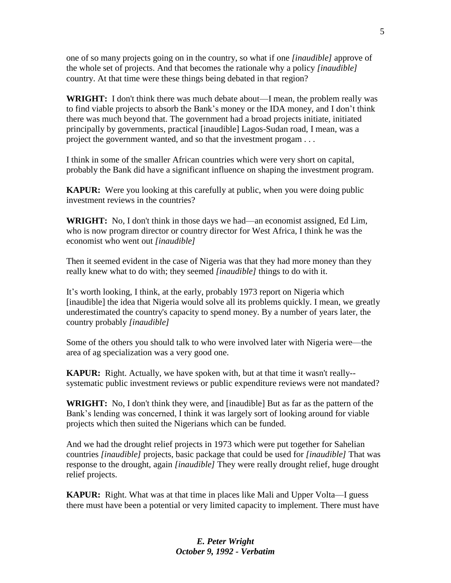one of so many projects going on in the country, so what if one *[inaudible]* approve of the whole set of projects. And that becomes the rationale why a policy *[inaudible]* country. At that time were these things being debated in that region?

**WRIGHT:** I don't think there was much debate about—I mean, the problem really was to find viable projects to absorb the Bank's money or the IDA money, and I don't think there was much beyond that. The government had a broad projects initiate, initiated principally by governments, practical [inaudible] Lagos-Sudan road, I mean, was a project the government wanted, and so that the investment progam . . .

I think in some of the smaller African countries which were very short on capital, probably the Bank did have a significant influence on shaping the investment program.

**KAPUR:** Were you looking at this carefully at public, when you were doing public investment reviews in the countries?

**WRIGHT:** No, I don't think in those days we had—an economist assigned, Ed Lim, who is now program director or country director for West Africa, I think he was the economist who went out *[inaudible]*

Then it seemed evident in the case of Nigeria was that they had more money than they really knew what to do with; they seemed *[inaudible]* things to do with it.

It's worth looking, I think, at the early, probably 1973 report on Nigeria which [inaudible] the idea that Nigeria would solve all its problems quickly. I mean, we greatly underestimated the country's capacity to spend money. By a number of years later, the country probably *[inaudible]*

Some of the others you should talk to who were involved later with Nigeria were—the area of ag specialization was a very good one.

**KAPUR:** Right. Actually, we have spoken with, but at that time it wasn't really-systematic public investment reviews or public expenditure reviews were not mandated?

**WRIGHT:** No, I don't think they were, and [inaudible] But as far as the pattern of the Bank's lending was concerned, I think it was largely sort of looking around for viable projects which then suited the Nigerians which can be funded.

And we had the drought relief projects in 1973 which were put together for Sahelian countries *[inaudible]* projects, basic package that could be used for *[inaudible]* That was response to the drought, again *[inaudible]* They were really drought relief, huge drought relief projects.

**KAPUR:** Right. What was at that time in places like Mali and Upper Volta—I guess there must have been a potential or very limited capacity to implement. There must have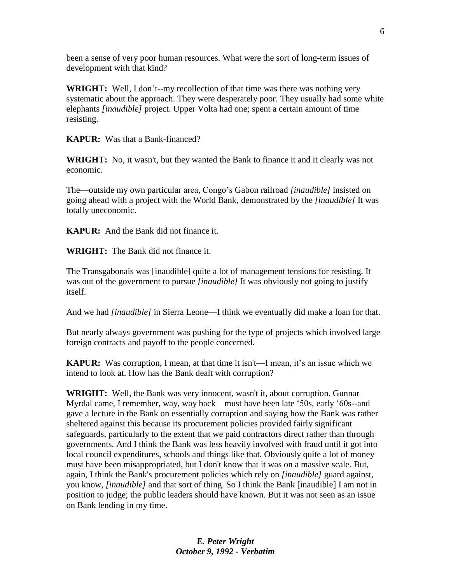been a sense of very poor human resources. What were the sort of long-term issues of development with that kind?

**WRIGHT:** Well, I don't--my recollection of that time was there was nothing very systematic about the approach. They were desperately poor. They usually had some white elephants *[inaudible]* project. Upper Volta had one; spent a certain amount of time resisting.

**KAPUR:** Was that a Bank-financed?

**WRIGHT:** No, it wasn't, but they wanted the Bank to finance it and it clearly was not economic.

The—outside my own particular area, Congo's Gabon railroad *[inaudible]* insisted on going ahead with a project with the World Bank, demonstrated by the *[inaudible]* It was totally uneconomic.

**KAPUR:** And the Bank did not finance it.

**WRIGHT:** The Bank did not finance it.

The Transgabonais was [inaudible] quite a lot of management tensions for resisting. It was out of the government to pursue *[inaudible]* It was obviously not going to justify itself.

And we had *[inaudible]* in Sierra Leone—I think we eventually did make a loan for that.

But nearly always government was pushing for the type of projects which involved large foreign contracts and payoff to the people concerned.

**KAPUR:** Was corruption, I mean, at that time it isn't—I mean, it's an issue which we intend to look at. How has the Bank dealt with corruption?

**WRIGHT:** Well, the Bank was very innocent, wasn't it, about corruption. Gunnar Myrdal came, I remember, way, way back—must have been late '50s, early '60s--and gave a lecture in the Bank on essentially corruption and saying how the Bank was rather sheltered against this because its procurement policies provided fairly significant safeguards, particularly to the extent that we paid contractors direct rather than through governments. And I think the Bank was less heavily involved with fraud until it got into local council expenditures, schools and things like that. Obviously quite a lot of money must have been misappropriated, but I don't know that it was on a massive scale. But, again, I think the Bank's procurement policies which rely on *[inaudible]* guard against, you know, *[inaudible]* and that sort of thing. So I think the Bank [inaudible] I am not in position to judge; the public leaders should have known. But it was not seen as an issue on Bank lending in my time.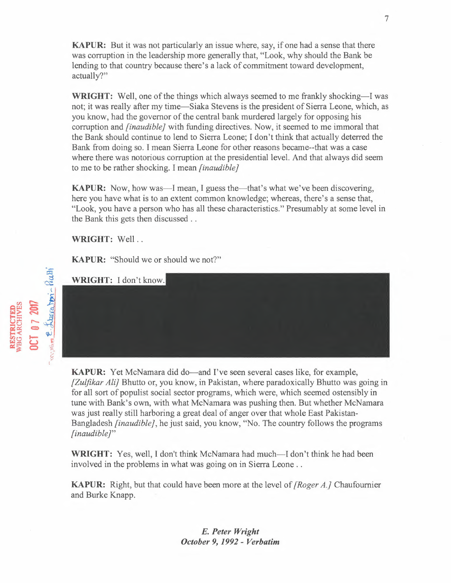**KAPUR:** But it was not particularly an issue where, say, if one had a sense that there was corruption in the leadership more generally that, "Look, why should the Bank be lending to that country because there's a lack of commitment toward development, actually?"

**WRIGHT:** Well, one of the things which always seemed to me frankly shocking—I was not; it was really after my time-Siaka Stevens is the president of Sierra Leone, which, as you know, had the governor of the central bank murdered largely for opposing his corruption and *{inaudible}* with funding directives. Now, it seemed to me immoral that the Bank should continue to lend to Sierra Leone; I don't think that actually deterred the Bank from doing so. I mean Sierra Leone for other reasons became=that was a case where there was notorious corruption at the presidential level. And that always did seem to me to be rather shocking. I mean *[inaudible J* 

**KAPUR:** Now, how was—I mean, I guess the—that's what we've been discovering, here you have what is to an extent common knowledge; whereas, there's a sense that, "Look, you have a person who has all these characteristics." Presumably at some level in the Bank this gets then discussed ..

**WRIGHT:** Well ..

WRIGHT: I don't know.

**KAPUR:** "Should we or should we not?"

**KAPUR:** Yet McNamara did do—and I've seen several cases like, for example, *[Zulfikar Ali}* Bhutto or, you know, in Pakistan, where paradoxically Bhutto was going in for all sort of populist social sector programs, which were, which seemed ostensibly in tune with Bank's own, with what McNamara was pushing then. But whether McNamara was just really still harboring a great deal of anger over that whole East Pakistan-Bangladesh *[inaudible},* he just said, you know, "No. The country follows the programs *[inaudible}"* 

**WRIGHT:** Yes, well, I don't think McNamara had much—I don't think he had been involved in the problems in what was going on in Sierra Leone ..

**KAPUR:** Right, but that could have been more at the level of *[Roger A.]* Chaufoumier and Burke Knapp.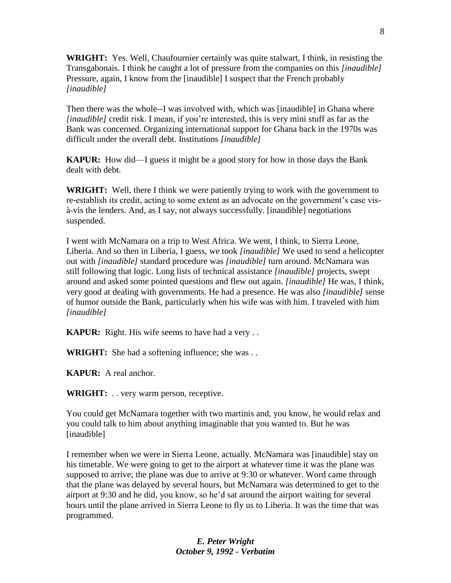**WRIGHT:** Yes. Well, Chaufournier certainly was quite stalwart, I think, in resisting the Transgabonais. I think he caught a lot of pressure from the companies on this *[inaudible]* Pressure, again, I know from the [inaudible] I suspect that the French probably *[inaudible]*

Then there was the whole--I was involved with, which was [inaudible] in Ghana where *[inaudible]* credit risk. I mean, if you're interested, this is very mini stuff as far as the Bank was concerned. Organizing international support for Ghana back in the 1970s was difficult under the overall debt. Institutions *[inaudible]*

**KAPUR:** How did—I guess it might be a good story for how in those days the Bank dealt with debt.

**WRIGHT:** Well, there I think we were patiently trying to work with the government to re-establish its credit, acting to some extent as an advocate on the government's case visà-vis the lenders. And, as I say, not always successfully. [inaudible] negotiations suspended.

I went with McNamara on a trip to West Africa. We went, I think, to Sierra Leone, Liberia. And so then in Liberia, I guess, we took *[inaudible]* We used to send a helicopter out with *[inaudible]* standard procedure was *[inaudible]* turn around. McNamara was still following that logic. Long lists of technical assistance *[inaudible]* projects, swept around and asked some pointed questions and flew out again. *[inaudible]* He was, I think, very good at dealing with governments. He had a presence. He was also *[inaudible]* sense of humor outside the Bank, particularly when his wife was with him. I traveled with him *[inaudible]*

**KAPUR:** Right. His wife seems to have had a very . .

**WRIGHT:** She had a softening influence; she was . .

**KAPUR:** A real anchor.

**WRIGHT:** . . very warm person, receptive.

You could get McNamara together with two martinis and, you know, he would relax and you could talk to him about anything imaginable that you wanted to. But he was [inaudible]

I remember when we were in Sierra Leone, actually. McNamara was [inaudible] stay on his timetable. We were going to get to the airport at whatever time it was the plane was supposed to arrive; the plane was due to arrive at 9:30 or whatever. Word came through that the plane was delayed by several hours, but McNamara was determined to get to the airport at 9:30 and he did, you know, so he'd sat around the airport waiting for several hours until the plane arrived in Sierra Leone to fly us to Liberia. It was the time that was programmed.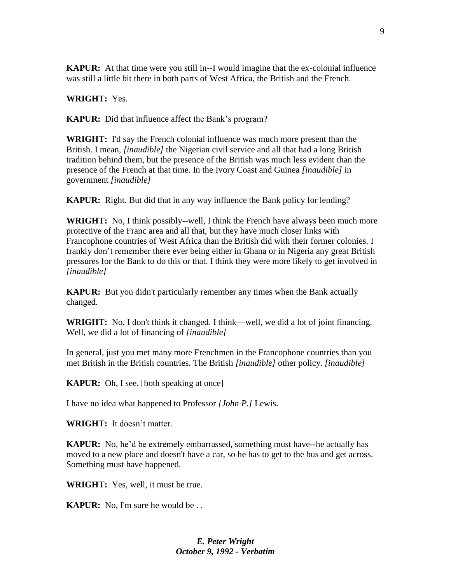**KAPUR:** At that time were you still in--I would imagine that the ex-colonial influence was still a little bit there in both parts of West Africa, the British and the French.

**WRIGHT:** Yes.

**KAPUR:** Did that influence affect the Bank's program?

**WRIGHT:** I'd say the French colonial influence was much more present than the British. I mean, *[inaudible]* the Nigerian civil service and all that had a long British tradition behind them, but the presence of the British was much less evident than the presence of the French at that time. In the Ivory Coast and Guinea *[inaudible]* in government *[inaudible]*

**KAPUR:** Right. But did that in any way influence the Bank policy for lending?

**WRIGHT:** No, I think possibly--well, I think the French have always been much more protective of the Franc area and all that, but they have much closer links with Francophone countries of West Africa than the British did with their former colonies. I frankly don't remember there ever being either in Ghana or in Nigeria any great British pressures for the Bank to do this or that. I think they were more likely to get involved in *[inaudible]*

**KAPUR:** But you didn't particularly remember any times when the Bank actually changed.

**WRIGHT:** No, I don't think it changed. I think—well, we did a lot of joint financing. Well, we did a lot of financing of *[inaudible]*

In general, just you met many more Frenchmen in the Francophone countries than you met British in the British countries. The British *[inaudible]* other policy. *[inaudible]*

**KAPUR:** Oh, I see. [both speaking at once]

I have no idea what happened to Professor *[John P.]* Lewis.

**WRIGHT:** It doesn't matter.

**KAPUR:** No, he'd be extremely embarrassed, something must have--he actually has moved to a new place and doesn't have a car, so he has to get to the bus and get across. Something must have happened.

**WRIGHT:** Yes, well, it must be true.

**KAPUR:** No. I'm sure he would be...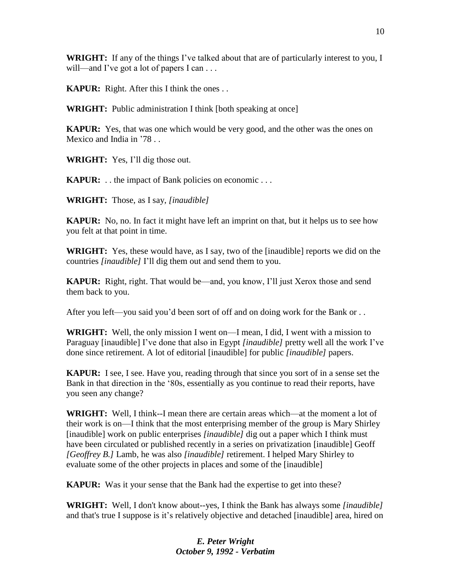**WRIGHT:** If any of the things I've talked about that are of particularly interest to you, I will—and I've got a lot of papers I can ...

**KAPUR:** Right. After this I think the ones . .

**WRIGHT:** Public administration I think [both speaking at once]

**KAPUR:** Yes, that was one which would be very good, and the other was the ones on Mexico and India in '78 . .

**WRIGHT:** Yes, I'll dig those out.

**KAPUR:** . . the impact of Bank policies on economic . . .

**WRIGHT:** Those, as I say, *[inaudible]*

**KAPUR:** No, no. In fact it might have left an imprint on that, but it helps us to see how you felt at that point in time.

**WRIGHT:** Yes, these would have, as I say, two of the [inaudible] reports we did on the countries *[inaudible]* I'll dig them out and send them to you.

**KAPUR:** Right, right. That would be—and, you know, I'll just Xerox those and send them back to you.

After you left—you said you'd been sort of off and on doing work for the Bank or . .

**WRIGHT:** Well, the only mission I went on—I mean, I did, I went with a mission to Paraguay [inaudible] I've done that also in Egypt *[inaudible]* pretty well all the work I've done since retirement. A lot of editorial [inaudible] for public *[inaudible]* papers.

**KAPUR:** I see, I see. Have you, reading through that since you sort of in a sense set the Bank in that direction in the '80s, essentially as you continue to read their reports, have you seen any change?

**WRIGHT:** Well, I think--I mean there are certain areas which—at the moment a lot of their work is on—I think that the most enterprising member of the group is Mary Shirley [inaudible] work on public enterprises *[inaudible]* dig out a paper which I think must have been circulated or published recently in a series on privatization [inaudible] Geoff *[Geoffrey B.]* Lamb, he was also *[inaudible]* retirement. I helped Mary Shirley to evaluate some of the other projects in places and some of the [inaudible]

**KAPUR:** Was it your sense that the Bank had the expertise to get into these?

**WRIGHT:** Well, I don't know about--yes, I think the Bank has always some *[inaudible]*  and that's true I suppose is it's relatively objective and detached [inaudible] area, hired on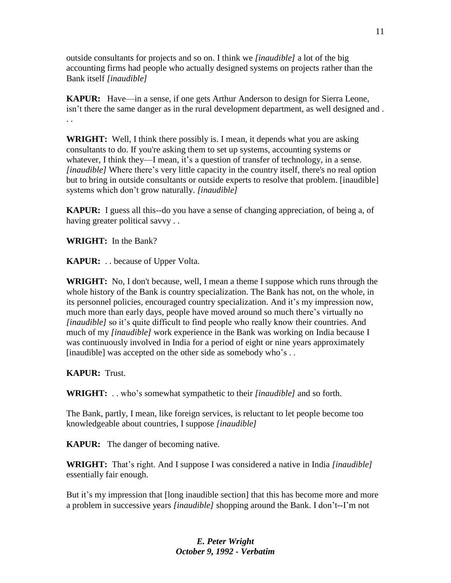outside consultants for projects and so on. I think we *[inaudible]* a lot of the big accounting firms had people who actually designed systems on projects rather than the Bank itself *[inaudible]*

**KAPUR:** Have—in a sense, if one gets Arthur Anderson to design for Sierra Leone, isn't there the same danger as in the rural development department, as well designed and . . .

**WRIGHT:** Well, I think there possibly is. I mean, it depends what you are asking consultants to do. If you're asking them to set up systems, accounting systems or whatever, I think they—I mean, it's a question of transfer of technology, in a sense. *[inaudible]* Where there's very little capacity in the country itself, there's no real option but to bring in outside consultants or outside experts to resolve that problem. [inaudible] systems which don't grow naturally. *[inaudible]*

**KAPUR:** I guess all this--do you have a sense of changing appreciation, of being a, of having greater political savvy . .

**WRIGHT:** In the Bank?

**KAPUR:** . . because of Upper Volta.

**WRIGHT:** No, I don't because, well, I mean a theme I suppose which runs through the whole history of the Bank is country specialization. The Bank has not, on the whole, in its personnel policies, encouraged country specialization. And it's my impression now, much more than early days, people have moved around so much there's virtually no *[inaudible]* so it's quite difficult to find people who really know their countries. And much of my *[inaudible]* work experience in the Bank was working on India because I was continuously involved in India for a period of eight or nine years approximately [inaudible] was accepted on the other side as somebody who's . .

**KAPUR:** Trust.

**WRIGHT:** . . who's somewhat sympathetic to their *[inaudible]* and so forth.

The Bank, partly, I mean, like foreign services, is reluctant to let people become too knowledgeable about countries, I suppose *[inaudible]*

**KAPUR:** The danger of becoming native.

**WRIGHT:** That's right. And I suppose I was considered a native in India *[inaudible]* essentially fair enough.

But it's my impression that [long inaudible section] that this has become more and more a problem in successive years *[inaudible]* shopping around the Bank. I don't--I'm not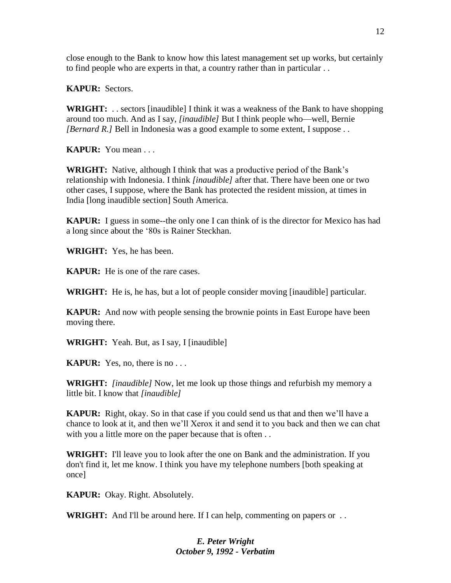close enough to the Bank to know how this latest management set up works, but certainly to find people who are experts in that, a country rather than in particular . .

**KAPUR:** Sectors.

**WRIGHT:** . . sectors [inaudible] I think it was a weakness of the Bank to have shopping around too much. And as I say, *[inaudible]* But I think people who—well, Bernie *[Bernard R.]* Bell in Indonesia was a good example to some extent, I suppose . .

**KAPUR:** You mean . . .

**WRIGHT:** Native, although I think that was a productive period of the Bank's relationship with Indonesia. I think *[inaudible]* after that. There have been one or two other cases, I suppose, where the Bank has protected the resident mission, at times in India [long inaudible section] South America.

**KAPUR:** I guess in some--the only one I can think of is the director for Mexico has had a long since about the '80s is Rainer Steckhan.

**WRIGHT:** Yes, he has been.

**KAPUR:** He is one of the rare cases.

**WRIGHT:** He is, he has, but a lot of people consider moving [inaudible] particular.

**KAPUR:** And now with people sensing the brownie points in East Europe have been moving there.

**WRIGHT:** Yeah. But, as I say, I [inaudible]

**KAPUR:** Yes, no, there is no . . .

**WRIGHT:** *[inaudible]* Now, let me look up those things and refurbish my memory a little bit. I know that *[inaudible]* 

**KAPUR:** Right, okay. So in that case if you could send us that and then we'll have a chance to look at it, and then we'll Xerox it and send it to you back and then we can chat with you a little more on the paper because that is often . .

**WRIGHT:** I'll leave you to look after the one on Bank and the administration. If you don't find it, let me know. I think you have my telephone numbers [both speaking at once]

**KAPUR:** Okay. Right. Absolutely.

**WRIGHT:** And I'll be around here. If I can help, commenting on papers or ...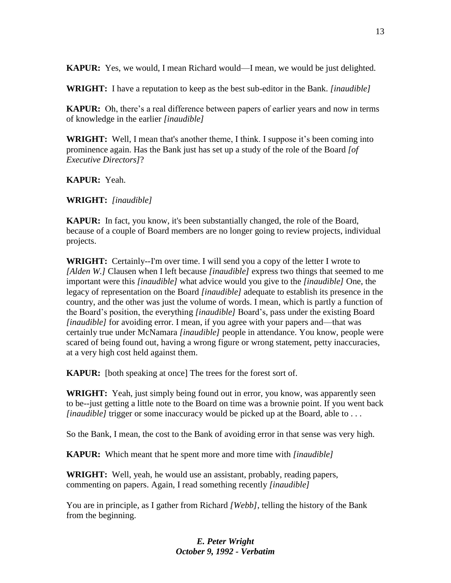**KAPUR:** Yes, we would, I mean Richard would—I mean, we would be just delighted.

**WRIGHT:** I have a reputation to keep as the best sub-editor in the Bank. *[inaudible]* 

**KAPUR:** Oh, there's a real difference between papers of earlier years and now in terms of knowledge in the earlier *[inaudible]*

**WRIGHT:** Well, I mean that's another theme, I think. I suppose it's been coming into prominence again. Has the Bank just has set up a study of the role of the Board *[of Executive Directors]*?

**KAPUR:** Yeah.

**WRIGHT:** *[inaudible]*

**KAPUR:** In fact, you know, it's been substantially changed, the role of the Board, because of a couple of Board members are no longer going to review projects, individual projects.

**WRIGHT:** Certainly--I'm over time. I will send you a copy of the letter I wrote to *[Alden W.]* Clausen when I left because *[inaudible]* express two things that seemed to me important were this *[inaudible]* what advice would you give to the *[inaudible]* One, the legacy of representation on the Board *[inaudible]* adequate to establish its presence in the country, and the other was just the volume of words. I mean, which is partly a function of the Board's position, the everything *[inaudible]* Board's, pass under the existing Board *[inaudible]* for avoiding error. I mean, if you agree with your papers and—that was certainly true under McNamara *[inaudible]* people in attendance. You know, people were scared of being found out, having a wrong figure or wrong statement, petty inaccuracies, at a very high cost held against them.

**KAPUR:** [both speaking at once] The trees for the forest sort of.

**WRIGHT:** Yeah, just simply being found out in error, you know, was apparently seen to be--just getting a little note to the Board on time was a brownie point. If you went back *[inaudible]* trigger or some inaccuracy would be picked up at the Board, able to ...

So the Bank, I mean, the cost to the Bank of avoiding error in that sense was very high.

**KAPUR:** Which meant that he spent more and more time with *[inaudible]*

**WRIGHT:** Well, yeah, he would use an assistant, probably, reading papers, commenting on papers. Again, I read something recently *[inaudible]*

You are in principle, as I gather from Richard *[Webb]*, telling the history of the Bank from the beginning.